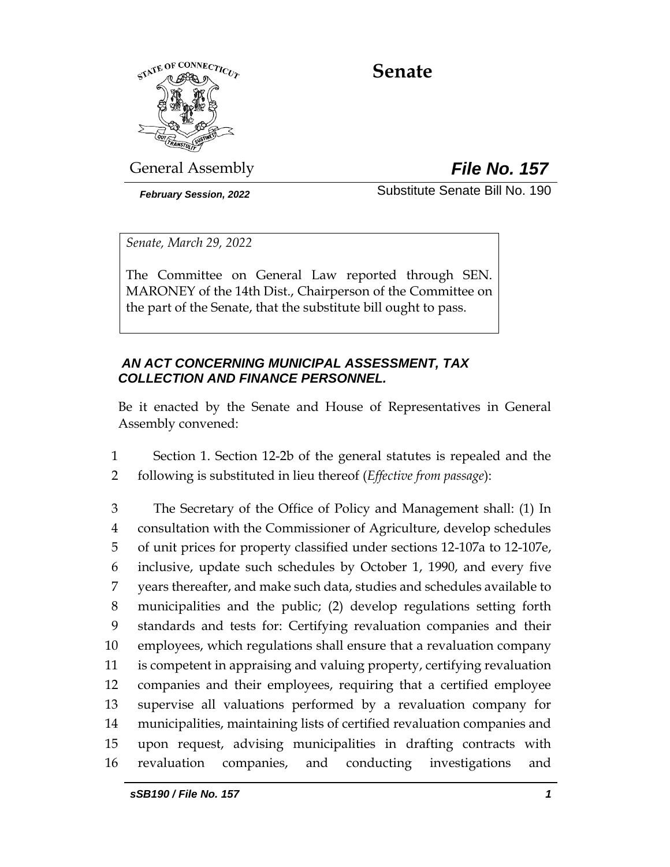

# **Senate**

General Assembly *File No. 157*

*February Session, 2022* Substitute Senate Bill No. 190

*Senate, March 29, 2022*

The Committee on General Law reported through SEN. MARONEY of the 14th Dist., Chairperson of the Committee on the part of the Senate, that the substitute bill ought to pass.

# *AN ACT CONCERNING MUNICIPAL ASSESSMENT, TAX COLLECTION AND FINANCE PERSONNEL.*

Be it enacted by the Senate and House of Representatives in General Assembly convened:

1 Section 1. Section 12-2b of the general statutes is repealed and the 2 following is substituted in lieu thereof (*Effective from passage*):

 The Secretary of the Office of Policy and Management shall: (1) In consultation with the Commissioner of Agriculture, develop schedules of unit prices for property classified under sections 12-107a to 12-107e, inclusive, update such schedules by October 1, 1990, and every five years thereafter, and make such data, studies and schedules available to municipalities and the public; (2) develop regulations setting forth standards and tests for: Certifying revaluation companies and their employees, which regulations shall ensure that a revaluation company is competent in appraising and valuing property, certifying revaluation companies and their employees, requiring that a certified employee supervise all valuations performed by a revaluation company for municipalities, maintaining lists of certified revaluation companies and upon request, advising municipalities in drafting contracts with revaluation companies, and conducting investigations and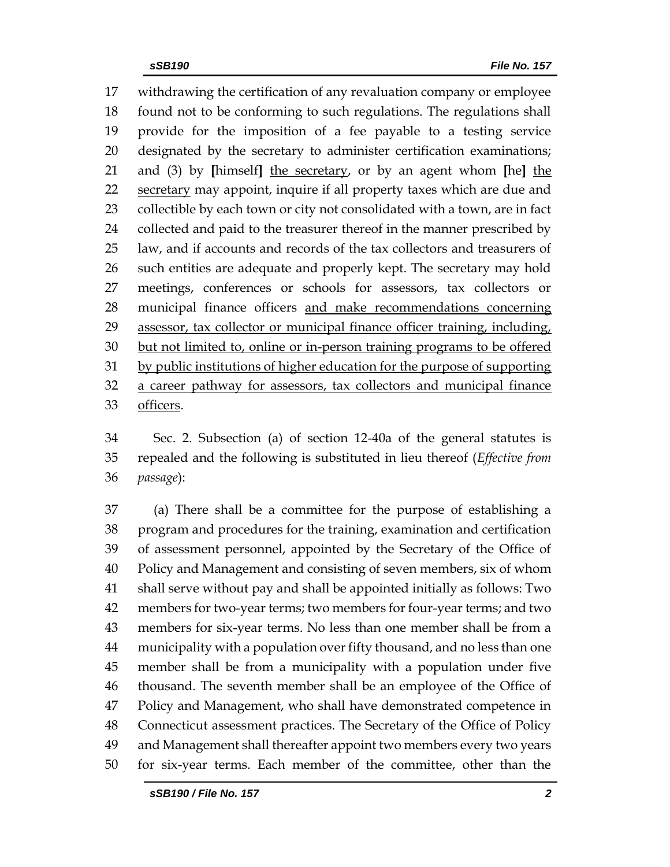withdrawing the certification of any revaluation company or employee found not to be conforming to such regulations. The regulations shall provide for the imposition of a fee payable to a testing service designated by the secretary to administer certification examinations; and (3) by **[**himself**]** the secretary, or by an agent whom **[**he**]** the 22 secretary may appoint, inquire if all property taxes which are due and collectible by each town or city not consolidated with a town, are in fact 24 collected and paid to the treasurer thereof in the manner prescribed by law, and if accounts and records of the tax collectors and treasurers of such entities are adequate and properly kept. The secretary may hold meetings, conferences or schools for assessors, tax collectors or municipal finance officers and make recommendations concerning assessor, tax collector or municipal finance officer training, including, but not limited to, online or in-person training programs to be offered by public institutions of higher education for the purpose of supporting a career pathway for assessors, tax collectors and municipal finance officers.

 Sec. 2. Subsection (a) of section 12-40a of the general statutes is repealed and the following is substituted in lieu thereof (*Effective from passage*):

 (a) There shall be a committee for the purpose of establishing a program and procedures for the training, examination and certification of assessment personnel, appointed by the Secretary of the Office of Policy and Management and consisting of seven members, six of whom shall serve without pay and shall be appointed initially as follows: Two members for two-year terms; two members for four-year terms; and two members for six-year terms. No less than one member shall be from a municipality with a population over fifty thousand, and no less than one member shall be from a municipality with a population under five thousand. The seventh member shall be an employee of the Office of Policy and Management, who shall have demonstrated competence in Connecticut assessment practices. The Secretary of the Office of Policy and Management shall thereafter appoint two members every two years for six-year terms. Each member of the committee, other than the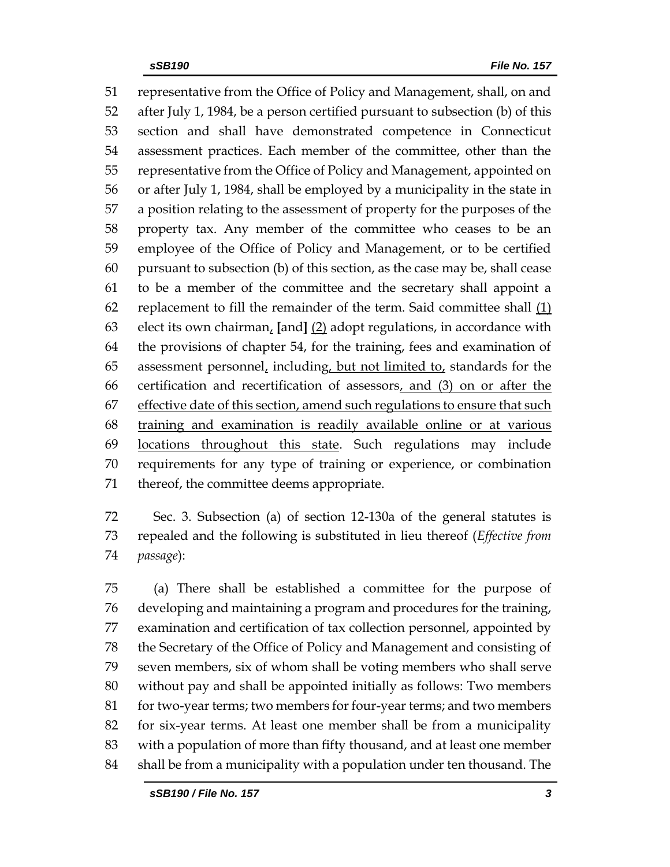representative from the Office of Policy and Management, shall, on and after July 1, 1984, be a person certified pursuant to subsection (b) of this section and shall have demonstrated competence in Connecticut assessment practices. Each member of the committee, other than the representative from the Office of Policy and Management, appointed on or after July 1, 1984, shall be employed by a municipality in the state in a position relating to the assessment of property for the purposes of the property tax. Any member of the committee who ceases to be an employee of the Office of Policy and Management, or to be certified pursuant to subsection (b) of this section, as the case may be, shall cease to be a member of the committee and the secretary shall appoint a replacement to fill the remainder of the term. Said committee shall (1) elect its own chairman, **[**and**]** (2) adopt regulations, in accordance with the provisions of chapter 54, for the training, fees and examination of 65 assessment personnel, including, but not limited to, standards for the 66 certification and recertification of assessors, and (3) on or after the 67 effective date of this section, amend such regulations to ensure that such training and examination is readily available online or at various 69 locations throughout this state. Such regulations may include requirements for any type of training or experience, or combination thereof, the committee deems appropriate.

 Sec. 3. Subsection (a) of section 12-130a of the general statutes is repealed and the following is substituted in lieu thereof (*Effective from passage*):

 (a) There shall be established a committee for the purpose of developing and maintaining a program and procedures for the training, examination and certification of tax collection personnel, appointed by the Secretary of the Office of Policy and Management and consisting of seven members, six of whom shall be voting members who shall serve without pay and shall be appointed initially as follows: Two members 81 for two-year terms; two members for four-year terms; and two members for six-year terms. At least one member shall be from a municipality with a population of more than fifty thousand, and at least one member shall be from a municipality with a population under ten thousand. The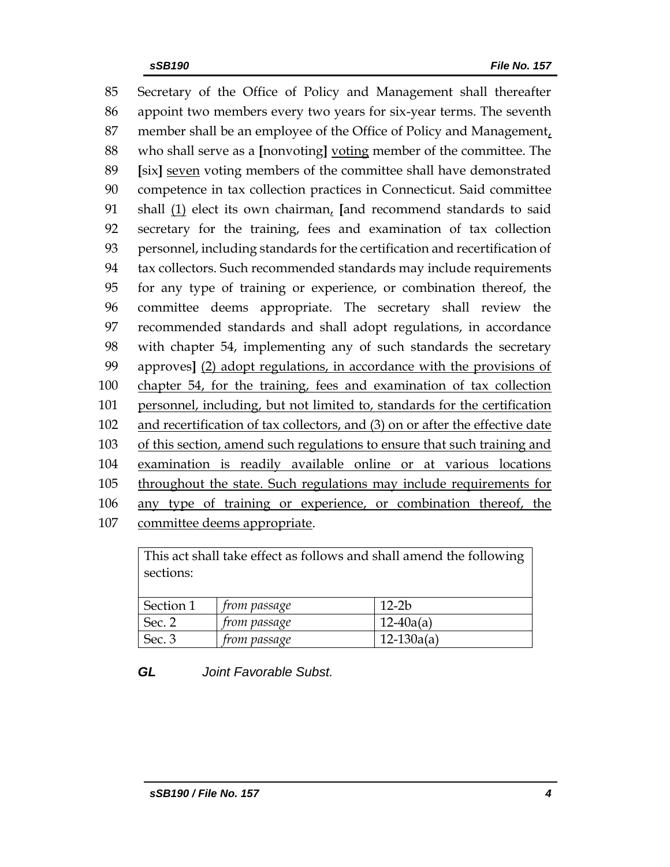Secretary of the Office of Policy and Management shall thereafter appoint two members every two years for six-year terms. The seventh member shall be an employee of the Office of Policy and Management, who shall serve as a **[**nonvoting**]** voting member of the committee. The **[**six**]** seven voting members of the committee shall have demonstrated competence in tax collection practices in Connecticut. Said committee shall (1) elect its own chairman, **[**and recommend standards to said secretary for the training, fees and examination of tax collection personnel, including standards for the certification and recertification of tax collectors. Such recommended standards may include requirements for any type of training or experience, or combination thereof, the committee deems appropriate. The secretary shall review the recommended standards and shall adopt regulations, in accordance with chapter 54, implementing any of such standards the secretary approves**]** (2) adopt regulations, in accordance with the provisions of chapter 54, for the training, fees and examination of tax collection personnel, including, but not limited to, standards for the certification and recertification of tax collectors, and (3) on or after the effective date of this section, amend such regulations to ensure that such training and examination is readily available online or at various locations throughout the state. Such regulations may include requirements for any type of training or experience, or combination thereof, the committee deems appropriate.

This act shall take effect as follows and shall amend the following sections:

| Section 1 | trom passage        | 12-2b          |
|-----------|---------------------|----------------|
| Sec. 2    | from passage        | $12-40a(a)$    |
| Sec. 3    | <i>from passage</i> | $12 - 130a(a)$ |

*GL Joint Favorable Subst.*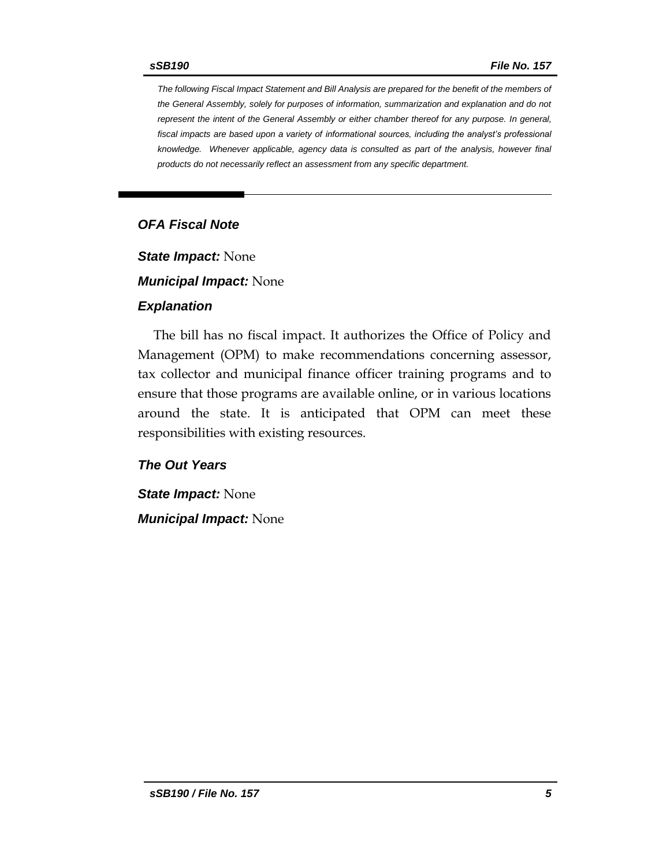*The following Fiscal Impact Statement and Bill Analysis are prepared for the benefit of the members of the General Assembly, solely for purposes of information, summarization and explanation and do not represent the intent of the General Assembly or either chamber thereof for any purpose. In general,*  fiscal impacts are based upon a variety of informational sources, including the analyst's professional *knowledge. Whenever applicable, agency data is consulted as part of the analysis, however final products do not necessarily reflect an assessment from any specific department.*

# *OFA Fiscal Note*

*State Impact:* None

*Municipal Impact:* None

#### *Explanation*

The bill has no fiscal impact. It authorizes the Office of Policy and Management (OPM) to make recommendations concerning assessor, tax collector and municipal finance officer training programs and to ensure that those programs are available online, or in various locations around the state. It is anticipated that OPM can meet these responsibilities with existing resources.

## *The Out Years*

*State Impact:* None

*Municipal Impact:* None